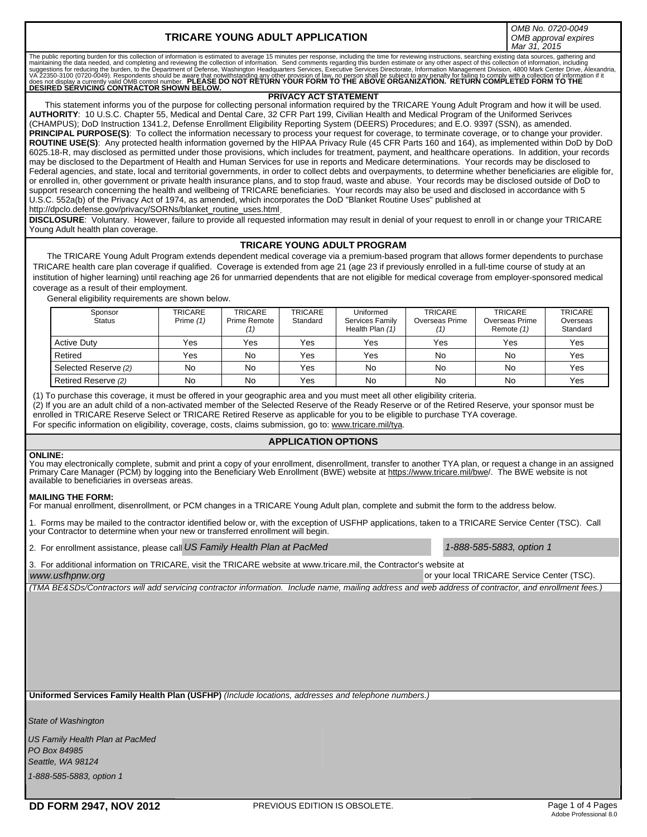# **TRICARE YOUNG ADULT APPLICATION**

*OMB No. 0720-0049 OMB approval expires Mar 31, 2015*

The public reporting burden for this collection of information is estimated to average 15 minutes per response, including the time for reviewing instructions, searching existing data sources, gathering and<br>maintaining the

### **PRIVACY ACT STATEMENT**

This statement informs you of the purpose for collecting personal information required by the TRICARE Young Adult Program and how it will be used. **AUTHORITY**: 10 U.S.C. Chapter 55, Medical and Dental Care, 32 CFR Part 199, Civilian Health and Medical Program of the Uniformed Serivces (CHAMPUS); DoD Instruction 1341.2, Defense Enrollment Eligibility Reporting System (DEERS) Procedures; and E.O. 9397 (SSN), as amended. PRINCIPAL PURPOSE(S): To collect the information necessary to process your request for coverage, to terminate coverage, or to change your provider. **ROUTINE USE(S)**: Any protected health information governed by the HIPAA Privacy Rule (45 CFR Parts 160 and 164), as implemented within DoD by DoD 6025.18-R, may disclosed as permitted under those provisions, which includes for treatment, payment, and healthcare operations. In addition, your records may be disclosed to the Department of Health and Human Services for use in reports and Medicare determinations. Your records may be disclosed to Federal agencies, and state, local and territorial governments, in order to collect debts and overpayments, to determine whether beneficiaries are eligible for, or enrolled in, other government or private health insurance plans, and to stop fraud, waste and abuse. Your records may be disclosed outside of DoD to support research concerning the health and wellbeing of TRICARE beneficiaries. Your records may also be used and disclosed in accordance with 5 U.S.C. 552a(b) of the Privacy Act of 1974, as amended, which incorporates the DoD "Blanket Routine Uses" published at http://dpclo.defense.gov/privacy/SORNs/blanket\_routine\_uses.html.

**DISCLOSURE**: Voluntary. However, failure to provide all requested information may result in denial of your request to enroll in or change your TRICARE Young Adult health plan coverage.

## **TRICARE YOUNG ADULT PROGRAM**

 The TRICARE Young Adult Program extends dependent medical coverage via a premium-based program that allows former dependents to purchase TRICARE health care plan coverage if qualified. Coverage is extended from age 21 (age 23 if previously enrolled in a full-time course of study at an institution of higher learning) until reaching age 26 for unmarried dependents that are not eligible for medical coverage from employer-sponsored medical coverage as a result of their employment.

General eligibility requirements are shown below.

| Sponsor<br><b>Status</b> | <b>TRICARE</b><br>Prime $(1)$ | <b>TRICARE</b><br>Prime Remote | <b>TRICARE</b><br>Standard | Uniformed<br>Services Family<br>Health Plan (1) | <b>TRICARE</b><br>Overseas Prime<br>(1) | <b>TRICARE</b><br>Overseas Prime<br>Remote (1) | <b>TRICARE</b><br>Overseas<br>Standard |
|--------------------------|-------------------------------|--------------------------------|----------------------------|-------------------------------------------------|-----------------------------------------|------------------------------------------------|----------------------------------------|
| <b>Active Duty</b>       | Yes                           | Yes                            | Yes                        | Yes                                             | Yes                                     | Yes                                            | Yes                                    |
| Retired                  | Yes                           | <b>No</b>                      | Yes                        | Yes                                             | No                                      | No                                             | Yes                                    |
| Selected Reserve (2)     | No                            | No                             | Yes                        | No                                              | No                                      | No                                             | Yes                                    |
| Retired Reserve (2)      | No                            | No                             | Yes                        | No                                              | No                                      | No                                             | Yes                                    |

(1) To purchase this coverage, it must be offered in your geographic area and you must meet all other eligibility criteria.

(2) If you are an adult child of a non-activated member of the Selected Reserve of the Ready Reserve or of the Retired Reserve, your sponsor must be enrolled in TRICARE Reserve Select or TRICARE Retired Reserve as applicable for you to be eligible to purchase TYA coverage.

For specific information on eligibility, coverage, costs, claims submission, go to: www.tricare.mil/tya.

# **APPLICATION OPTIONS**

### **ONLINE:**

You may electronically complete, submit and print a copy of your enrollment, disenrollment, transfer to another TYA plan, or request a change in an assigned<br>Primary Care Manager (PCM) by logging into the Beneficiary Web En available to beneficiaries in overseas areas.

### **MAILING THE FORM:**

For manual enrollment, disenrollment, or PCM changes in a TRICARE Young Adult plan, complete and submit the form to the address below.

1. Forms may be mailed to the contractor identified below or, with the exception of USFHP applications, taken to a TRICARE Service Center (TSC). Call your Contractor to determine when your new or transferred enrollment will begin.

2. For enrollment assistance, please call at *US Family Health Plan at PacMed 1-888-585-5883, option 1*

3. For additional information on TRICARE, visit the TRICARE website at www.tricare.mil, the Contractor's website at

*www.usfhpnw.org*

or your local TRICARE Service Center (TSC).

*(TMA BE&SDs/Contractors will add servicing contractor information. Include name, mailing address and web address of contractor, and enrollment fees.)*

**Uniformed Services Family Health Plan (USFHP)** *(Include locations, addresses and telephone numbers.)*

*State of Washington*

*US Family Health Plan at PacMed PO Box 84985 Seattle, WA 98124 1-888-585-5883, option 1*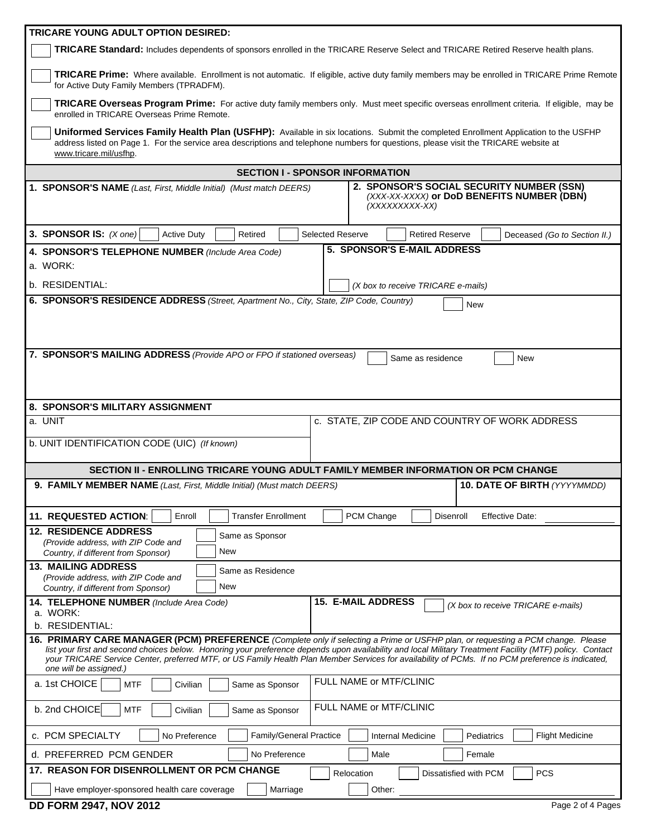| TRICARE YOUNG ADULT OPTION DESIRED:                                                                                                                                                                                                                                                                   |  |  |  |  |  |
|-------------------------------------------------------------------------------------------------------------------------------------------------------------------------------------------------------------------------------------------------------------------------------------------------------|--|--|--|--|--|
| TRICARE Standard: Includes dependents of sponsors enrolled in the TRICARE Reserve Select and TRICARE Retired Reserve health plans.                                                                                                                                                                    |  |  |  |  |  |
| TRICARE Prime: Where available. Enrollment is not automatic. If eligible, active duty family members may be enrolled in TRICARE Prime Remote<br>for Active Duty Family Members (TPRADFM).                                                                                                             |  |  |  |  |  |
| TRICARE Overseas Program Prime: For active duty family members only. Must meet specific overseas enrollment criteria. If eligible, may be<br>enrolled in TRICARE Overseas Prime Remote.                                                                                                               |  |  |  |  |  |
| Uniformed Services Family Health Plan (USFHP): Available in six locations. Submit the completed Enrollment Application to the USFHP<br>address listed on Page 1. For the service area descriptions and telephone numbers for questions, please visit the TRICARE website at<br>www.tricare.mil/usfhp. |  |  |  |  |  |
| <b>SECTION I - SPONSOR INFORMATION</b>                                                                                                                                                                                                                                                                |  |  |  |  |  |
| 2. SPONSOR'S SOCIAL SECURITY NUMBER (SSN)                                                                                                                                                                                                                                                             |  |  |  |  |  |
| 1. SPONSOR'S NAME (Last, First, Middle Initial) (Must match DEERS)<br>(XXX-XX-XXXX) or DoD BENEFITS NUMBER (DBN)<br>(XXXXXXXX-XX)                                                                                                                                                                     |  |  |  |  |  |
| 3. SPONSOR IS: $(X \text{ one})$<br><b>Selected Reserve</b><br><b>Active Duty</b><br>Retired<br><b>Retired Reserve</b><br>Deceased (Go to Section II.)                                                                                                                                                |  |  |  |  |  |
| 5. SPONSOR'S E-MAIL ADDRESS<br>4. SPONSOR'S TELEPHONE NUMBER (Include Area Code)                                                                                                                                                                                                                      |  |  |  |  |  |
| a. WORK:                                                                                                                                                                                                                                                                                              |  |  |  |  |  |
| b. RESIDENTIAL:<br>(X box to receive TRICARE e-mails)                                                                                                                                                                                                                                                 |  |  |  |  |  |
| 6. SPONSOR'S RESIDENCE ADDRESS (Street, Apartment No., City, State, ZIP Code, Country)                                                                                                                                                                                                                |  |  |  |  |  |
| <b>New</b>                                                                                                                                                                                                                                                                                            |  |  |  |  |  |
|                                                                                                                                                                                                                                                                                                       |  |  |  |  |  |
|                                                                                                                                                                                                                                                                                                       |  |  |  |  |  |
| 7. SPONSOR'S MAILING ADDRESS (Provide APO or FPO if stationed overseas)<br>Same as residence<br>New                                                                                                                                                                                                   |  |  |  |  |  |
|                                                                                                                                                                                                                                                                                                       |  |  |  |  |  |
|                                                                                                                                                                                                                                                                                                       |  |  |  |  |  |
|                                                                                                                                                                                                                                                                                                       |  |  |  |  |  |
| 8. SPONSOR'S MILITARY ASSIGNMENT<br>c. STATE, ZIP CODE AND COUNTRY OF WORK ADDRESS<br>a. UNIT                                                                                                                                                                                                         |  |  |  |  |  |
|                                                                                                                                                                                                                                                                                                       |  |  |  |  |  |
| b. UNIT IDENTIFICATION CODE (UIC) (If known)                                                                                                                                                                                                                                                          |  |  |  |  |  |
|                                                                                                                                                                                                                                                                                                       |  |  |  |  |  |
| SECTION II - ENROLLING TRICARE YOUNG ADULT FAMILY MEMBER INFORMATION OR PCM CHANGE                                                                                                                                                                                                                    |  |  |  |  |  |
|                                                                                                                                                                                                                                                                                                       |  |  |  |  |  |
| <b>10. DATE OF BIRTH (YYYYMMDD)</b><br>9. FAMILY MEMBER NAME (Last, First, Middle Initial) (Must match DEERS)                                                                                                                                                                                         |  |  |  |  |  |
| Enroll<br>PCM Change<br><b>Transfer Enrollment</b><br>Disenroll<br><b>Effective Date:</b>                                                                                                                                                                                                             |  |  |  |  |  |
| 11. REQUESTED ACTION:<br><b>12. RESIDENCE ADDRESS</b>                                                                                                                                                                                                                                                 |  |  |  |  |  |
| Same as Sponsor<br>(Provide address, with ZIP Code and                                                                                                                                                                                                                                                |  |  |  |  |  |
| New<br>Country, if different from Sponsor)                                                                                                                                                                                                                                                            |  |  |  |  |  |
| <b>13. MAILING ADDRESS</b><br>Same as Residence                                                                                                                                                                                                                                                       |  |  |  |  |  |
| (Provide address, with ZIP Code and<br>New<br>Country, if different from Sponsor)                                                                                                                                                                                                                     |  |  |  |  |  |
| <b>15. E-MAIL ADDRESS</b><br>14. TELEPHONE NUMBER (Include Area Code)<br>(X box to receive TRICARE e-mails)                                                                                                                                                                                           |  |  |  |  |  |
| a. WORK:                                                                                                                                                                                                                                                                                              |  |  |  |  |  |
| b. RESIDENTIAL:                                                                                                                                                                                                                                                                                       |  |  |  |  |  |
| 16. PRIMARY CARE MANAGER (PCM) PREFERENCE (Complete only if selecting a Prime or USFHP plan, or requesting a PCM change. Please<br>list your first and second choices below. Honoring your preference depends upon availability and local Military Treatment Facility (MTF) policy. Contact           |  |  |  |  |  |
| your TRICARE Service Center, preferred MTF, or US Family Health Plan Member Services for availability of PCMs. If no PCM preference is indicated,                                                                                                                                                     |  |  |  |  |  |
| one will be assigned.)<br>FULL NAME or MTF/CLINIC<br>a. 1st CHOICE<br><b>MTF</b><br>Civilian<br>Same as Sponsor                                                                                                                                                                                       |  |  |  |  |  |
| FULL NAME or MTF/CLINIC<br>b. 2nd CHOICE<br><b>MTF</b><br>Civilian<br>Same as Sponsor                                                                                                                                                                                                                 |  |  |  |  |  |
| Family/General Practice<br>c. PCM SPECIALTY<br><b>Flight Medicine</b><br>No Preference<br>Pediatrics<br>Internal Medicine                                                                                                                                                                             |  |  |  |  |  |
| d. PREFERRED PCM GENDER<br>No Preference<br>Male<br>Female                                                                                                                                                                                                                                            |  |  |  |  |  |
| 17. REASON FOR DISENROLLMENT OR PCM CHANGE<br><b>PCS</b><br>Relocation<br>Dissatisfied with PCM                                                                                                                                                                                                       |  |  |  |  |  |

|  |  |  |  |  | <b>DD FORM 2947, NOV 2012</b> |  |  |
|--|--|--|--|--|-------------------------------|--|--|
|--|--|--|--|--|-------------------------------|--|--|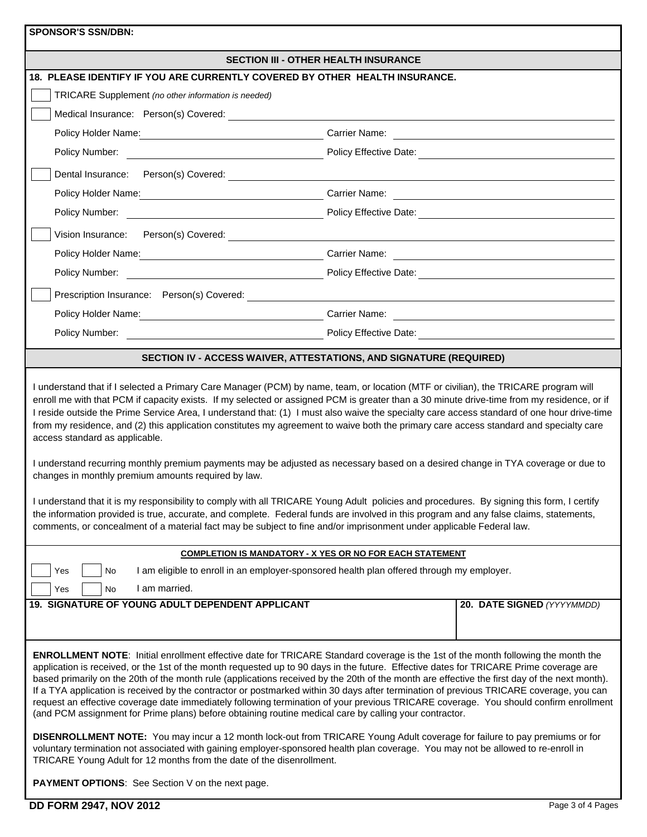| <b>SPONSOR'S SSN/DBN:</b>                                                                                                                                                                                                                                                                                                                                                                                                                                                                                                                                                                                                                                                                                                                                                                                                                                                                                                                                                                                                                                                                                                                                                                                            |                                                                                                                                                                                                                                     |  |  |  |  |
|----------------------------------------------------------------------------------------------------------------------------------------------------------------------------------------------------------------------------------------------------------------------------------------------------------------------------------------------------------------------------------------------------------------------------------------------------------------------------------------------------------------------------------------------------------------------------------------------------------------------------------------------------------------------------------------------------------------------------------------------------------------------------------------------------------------------------------------------------------------------------------------------------------------------------------------------------------------------------------------------------------------------------------------------------------------------------------------------------------------------------------------------------------------------------------------------------------------------|-------------------------------------------------------------------------------------------------------------------------------------------------------------------------------------------------------------------------------------|--|--|--|--|
|                                                                                                                                                                                                                                                                                                                                                                                                                                                                                                                                                                                                                                                                                                                                                                                                                                                                                                                                                                                                                                                                                                                                                                                                                      | <b>SECTION III - OTHER HEALTH INSURANCE</b>                                                                                                                                                                                         |  |  |  |  |
| 18. PLEASE IDENTIFY IF YOU ARE CURRENTLY COVERED BY OTHER HEALTH INSURANCE.                                                                                                                                                                                                                                                                                                                                                                                                                                                                                                                                                                                                                                                                                                                                                                                                                                                                                                                                                                                                                                                                                                                                          |                                                                                                                                                                                                                                     |  |  |  |  |
| TRICARE Supplement (no other information is needed)                                                                                                                                                                                                                                                                                                                                                                                                                                                                                                                                                                                                                                                                                                                                                                                                                                                                                                                                                                                                                                                                                                                                                                  |                                                                                                                                                                                                                                     |  |  |  |  |
| Medical Insurance: Person(s) Covered: Next State State State State State State State State State State State S                                                                                                                                                                                                                                                                                                                                                                                                                                                                                                                                                                                                                                                                                                                                                                                                                                                                                                                                                                                                                                                                                                       |                                                                                                                                                                                                                                     |  |  |  |  |
|                                                                                                                                                                                                                                                                                                                                                                                                                                                                                                                                                                                                                                                                                                                                                                                                                                                                                                                                                                                                                                                                                                                                                                                                                      | Policy Holder Name: <u>Carrier Name:</u> Carrier Name: Carrier Name: Carrier Name: Carrier Name: Carrier Name: Carrier Name: Carrier Name: Carrier Name: Carrier Name: Carrier Name: Carrier Name: Carrier Name: Carrier Name: Carr |  |  |  |  |
| Policy Number: <u>Department of the second second second</u> and the second second second second second second second second second second second second second second second second second second second second second second seco                                                                                                                                                                                                                                                                                                                                                                                                                                                                                                                                                                                                                                                                                                                                                                                                                                                                                                                                                                                  |                                                                                                                                                                                                                                     |  |  |  |  |
|                                                                                                                                                                                                                                                                                                                                                                                                                                                                                                                                                                                                                                                                                                                                                                                                                                                                                                                                                                                                                                                                                                                                                                                                                      |                                                                                                                                                                                                                                     |  |  |  |  |
|                                                                                                                                                                                                                                                                                                                                                                                                                                                                                                                                                                                                                                                                                                                                                                                                                                                                                                                                                                                                                                                                                                                                                                                                                      |                                                                                                                                                                                                                                     |  |  |  |  |
|                                                                                                                                                                                                                                                                                                                                                                                                                                                                                                                                                                                                                                                                                                                                                                                                                                                                                                                                                                                                                                                                                                                                                                                                                      |                                                                                                                                                                                                                                     |  |  |  |  |
|                                                                                                                                                                                                                                                                                                                                                                                                                                                                                                                                                                                                                                                                                                                                                                                                                                                                                                                                                                                                                                                                                                                                                                                                                      |                                                                                                                                                                                                                                     |  |  |  |  |
|                                                                                                                                                                                                                                                                                                                                                                                                                                                                                                                                                                                                                                                                                                                                                                                                                                                                                                                                                                                                                                                                                                                                                                                                                      | Policy Holder Name: Name: Name: Carrier Name: Name: Name: Name: Name: Name: Name: Name: Name: Name: Name: Name: Name: Name: Name: Name: Name: Name: Name: Name: Name: Name: Name: Name: Name: Name: Name: Name: Name: Name: Na      |  |  |  |  |
|                                                                                                                                                                                                                                                                                                                                                                                                                                                                                                                                                                                                                                                                                                                                                                                                                                                                                                                                                                                                                                                                                                                                                                                                                      |                                                                                                                                                                                                                                     |  |  |  |  |
| Prescription Insurance: Person(s) Covered:                                                                                                                                                                                                                                                                                                                                                                                                                                                                                                                                                                                                                                                                                                                                                                                                                                                                                                                                                                                                                                                                                                                                                                           | <u> 1989 - Johann Johann Stoff, deutscher Stoffen und der Stoffen und der Stoffen und der Stoffen und der Stoffen</u>                                                                                                               |  |  |  |  |
|                                                                                                                                                                                                                                                                                                                                                                                                                                                                                                                                                                                                                                                                                                                                                                                                                                                                                                                                                                                                                                                                                                                                                                                                                      | Policy Holder Name: Name: Name: Carrier Name: Name: Name: Name: Name: Name: Name: Name: Name: Name: Name: Name: Name: Name: Name: Name: Name: Name: Name: Name: Name: Name: Name: Name: Name: Name: Name: Name: Name: Name: Na      |  |  |  |  |
|                                                                                                                                                                                                                                                                                                                                                                                                                                                                                                                                                                                                                                                                                                                                                                                                                                                                                                                                                                                                                                                                                                                                                                                                                      |                                                                                                                                                                                                                                     |  |  |  |  |
|                                                                                                                                                                                                                                                                                                                                                                                                                                                                                                                                                                                                                                                                                                                                                                                                                                                                                                                                                                                                                                                                                                                                                                                                                      | SECTION IV - ACCESS WAIVER, ATTESTATIONS, AND SIGNATURE (REQUIRED)                                                                                                                                                                  |  |  |  |  |
| I understand that if I selected a Primary Care Manager (PCM) by name, team, or location (MTF or civilian), the TRICARE program will<br>enroll me with that PCM if capacity exists. If my selected or assigned PCM is greater than a 30 minute drive-time from my residence, or if<br>I reside outside the Prime Service Area, I understand that: (1) I must also waive the specialty care access standard of one hour drive-time<br>from my residence, and (2) this application constitutes my agreement to waive both the primary care access standard and specialty care<br>access standard as applicable.<br>I understand recurring monthly premium payments may be adjusted as necessary based on a desired change in TYA coverage or due to<br>changes in monthly premium amounts required by law.<br>understand that it is my responsibility to comply with all TRICARE Young Adult policies and procedures. By signing this form, I certify<br>the information provided is true, accurate, and complete. Federal funds are involved in this program and any false claims, statements,<br>comments, or concealment of a material fact may be subject to fine and/or imprisonment under applicable Federal law. |                                                                                                                                                                                                                                     |  |  |  |  |
| <b>COMPLETION IS MANDATORY - X YES OR NO FOR EACH STATEMENT</b>                                                                                                                                                                                                                                                                                                                                                                                                                                                                                                                                                                                                                                                                                                                                                                                                                                                                                                                                                                                                                                                                                                                                                      |                                                                                                                                                                                                                                     |  |  |  |  |
| I am eligible to enroll in an employer-sponsored health plan offered through my employer.<br>Yes<br>No<br>I am married.<br>Yes<br>No                                                                                                                                                                                                                                                                                                                                                                                                                                                                                                                                                                                                                                                                                                                                                                                                                                                                                                                                                                                                                                                                                 |                                                                                                                                                                                                                                     |  |  |  |  |
| 19. SIGNATURE OF YOUNG ADULT DEPENDENT APPLICANT                                                                                                                                                                                                                                                                                                                                                                                                                                                                                                                                                                                                                                                                                                                                                                                                                                                                                                                                                                                                                                                                                                                                                                     | 20. DATE SIGNED (YYYYMMDD)                                                                                                                                                                                                          |  |  |  |  |
|                                                                                                                                                                                                                                                                                                                                                                                                                                                                                                                                                                                                                                                                                                                                                                                                                                                                                                                                                                                                                                                                                                                                                                                                                      |                                                                                                                                                                                                                                     |  |  |  |  |
| <b>ENROLLMENT NOTE:</b> Initial enrollment effective date for TRICARE Standard coverage is the 1st of the month following the month the<br>application is received, or the 1st of the month requested up to 90 days in the future. Effective dates for TRICARE Prime coverage are<br>based primarily on the 20th of the month rule (applications received by the 20th of the month are effective the first day of the next month).<br>If a TYA application is received by the contractor or postmarked within 30 days after termination of previous TRICARE coverage, you can<br>request an effective coverage date immediately following termination of your previous TRICARE coverage. You should confirm enrollment<br>(and PCM assignment for Prime plans) before obtaining routine medical care by calling your contractor.<br>DISENROLLMENT NOTE: You may incur a 12 month lock-out from TRICARE Young Adult coverage for failure to pay premiums or for                                                                                                                                                                                                                                                       |                                                                                                                                                                                                                                     |  |  |  |  |
| voluntary termination not associated with gaining employer-sponsored health plan coverage. You may not be allowed to re-enroll in<br>TRICARE Young Adult for 12 months from the date of the disenrollment.                                                                                                                                                                                                                                                                                                                                                                                                                                                                                                                                                                                                                                                                                                                                                                                                                                                                                                                                                                                                           |                                                                                                                                                                                                                                     |  |  |  |  |

**PAYMENT OPTIONS**: See Section V on the next page.